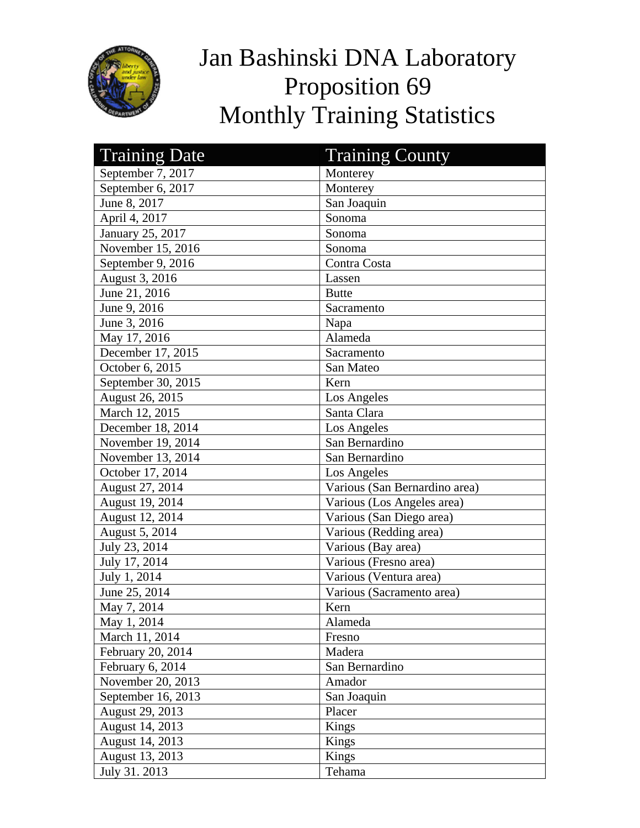

## Jan Bashinski DNA Laboratory Proposition 69 Monthly Training Statistics

| <b>Training Date</b> | <b>Training County</b>        |
|----------------------|-------------------------------|
| September 7, 2017    | Monterey                      |
| September 6, 2017    | Monterey                      |
| June 8, 2017         | San Joaquin                   |
| April 4, 2017        | Sonoma                        |
| January 25, 2017     | Sonoma                        |
| November 15, 2016    | Sonoma                        |
| September 9, 2016    | Contra Costa                  |
| August 3, 2016       | Lassen                        |
| June 21, 2016        | <b>Butte</b>                  |
| June 9, 2016         | Sacramento                    |
| June 3, 2016         | Napa                          |
| May 17, 2016         | Alameda                       |
| December 17, 2015    | Sacramento                    |
| October 6, 2015      | San Mateo                     |
| September 30, 2015   | Kern                          |
| August 26, 2015      | Los Angeles                   |
| March 12, 2015       | Santa Clara                   |
| December 18, 2014    | Los Angeles                   |
| November 19, 2014    | San Bernardino                |
| November 13, 2014    | San Bernardino                |
| October 17, 2014     | Los Angeles                   |
| August 27, 2014      | Various (San Bernardino area) |
| August 19, 2014      | Various (Los Angeles area)    |
| August 12, 2014      | Various (San Diego area)      |
| August 5, 2014       | Various (Redding area)        |
| July 23, 2014        | Various (Bay area)            |
| July 17, 2014        | Various (Fresno area)         |
| July 1, 2014         | Various (Ventura area)        |
| June 25, 2014        | Various (Sacramento area)     |
| May 7, 2014          | Kern                          |
| May 1, 2014          | Alameda                       |
| March 11, 2014       | Fresno                        |
| February 20, 2014    | Madera                        |
| February 6, 2014     | San Bernardino                |
| November 20, 2013    | Amador                        |
| September 16, 2013   | San Joaquin                   |
| August 29, 2013      | Placer                        |
| August 14, 2013      | Kings                         |
| August 14, 2013      | Kings                         |
| August 13, 2013      | Kings                         |
| July 31. 2013        | Tehama                        |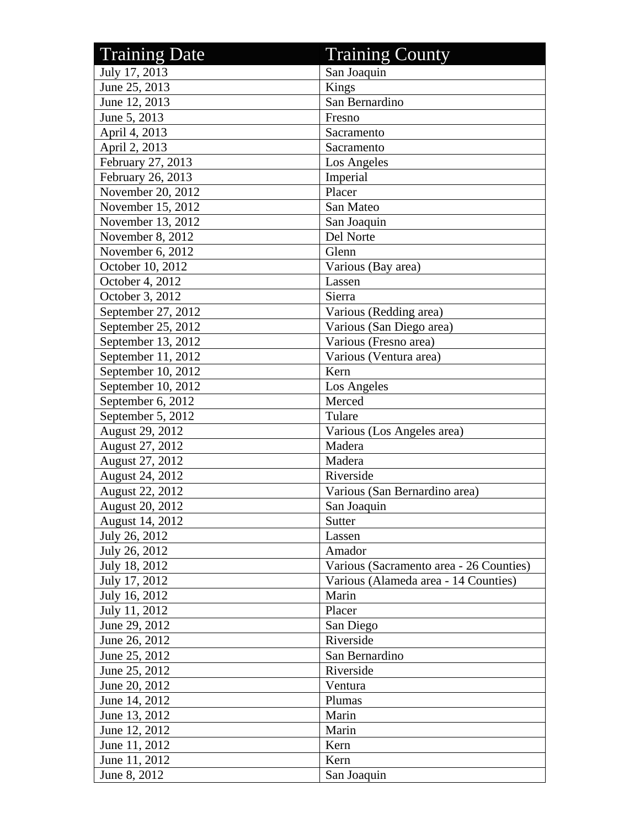| <b>Training Date</b> | <b>Training County</b>                  |
|----------------------|-----------------------------------------|
| July 17, 2013        | San Joaquin                             |
| June 25, 2013        | Kings                                   |
| June 12, 2013        | San Bernardino                          |
| June 5, 2013         | Fresno                                  |
| April 4, 2013        | Sacramento                              |
| April 2, 2013        | Sacramento                              |
| February 27, 2013    | Los Angeles                             |
| February 26, 2013    | Imperial                                |
| November 20, 2012    | Placer                                  |
| November 15, 2012    | San Mateo                               |
| November 13, 2012    | San Joaquin                             |
| November 8, 2012     | Del Norte                               |
| November 6, 2012     | Glenn                                   |
| October 10, 2012     | Various (Bay area)                      |
| October 4, 2012      | Lassen                                  |
| October 3, 2012      | Sierra                                  |
| September 27, 2012   | Various (Redding area)                  |
| September 25, 2012   | Various (San Diego area)                |
| September 13, 2012   | Various (Fresno area)                   |
| September 11, 2012   | Various (Ventura area)                  |
| September 10, 2012   | Kern                                    |
| September 10, 2012   | Los Angeles                             |
| September 6, 2012    | Merced                                  |
| September 5, 2012    | Tulare                                  |
| August 29, 2012      | Various (Los Angeles area)              |
| August 27, 2012      | Madera                                  |
| August 27, 2012      | Madera                                  |
| August 24, 2012      | Riverside                               |
| August 22, 2012      | Various (San Bernardino area)           |
| August 20, 2012      | San Joaquin                             |
| August 14, 2012      | Sutter                                  |
| July 26, 2012        | Lassen                                  |
| July 26, 2012        | Amador                                  |
| July 18, 2012        | Various (Sacramento area - 26 Counties) |
| July 17, 2012        | Various (Alameda area - 14 Counties)    |
| July 16, 2012        | Marin                                   |
| July 11, 2012        | Placer                                  |
| June 29, 2012        | San Diego                               |
| June 26, 2012        | Riverside                               |
| June 25, 2012        | San Bernardino                          |
| June 25, 2012        | Riverside                               |
| June 20, 2012        | Ventura                                 |
| June 14, 2012        | Plumas                                  |
| June 13, 2012        | Marin                                   |
| June 12, 2012        | Marin                                   |
| June 11, 2012        | Kern                                    |
| June 11, 2012        | Kern                                    |
| June 8, 2012         | San Joaquin                             |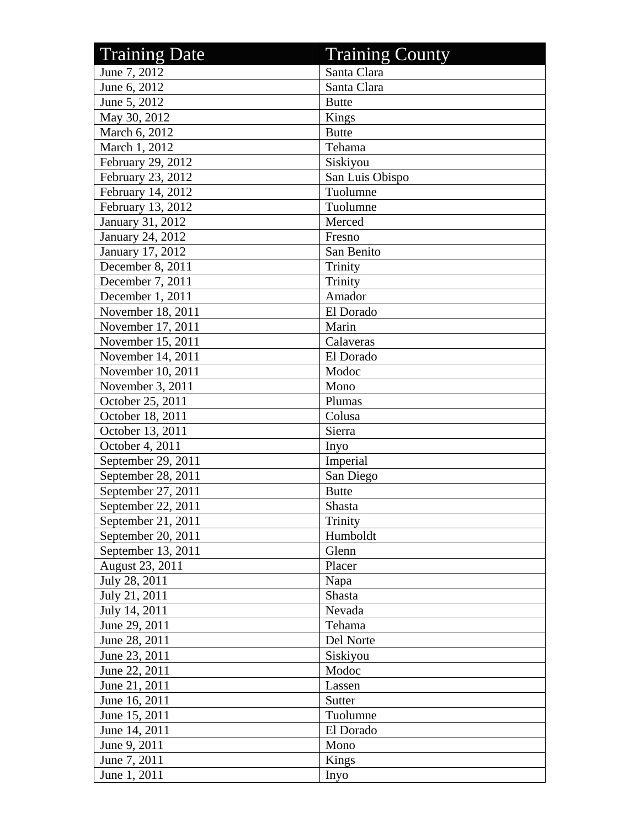| <b>Training Date</b> | <b>Training County</b> |
|----------------------|------------------------|
| June 7, 2012         | Santa Clara            |
| June 6, 2012         | Santa Clara            |
| June 5, 2012         | <b>Butte</b>           |
| May 30, 2012         | Kings                  |
| March 6, 2012        | <b>Butte</b>           |
| March 1, 2012        | Tehama                 |
| February 29, 2012    | Siskiyou               |
| February 23, 2012    | San Luis Obispo        |
| February 14, 2012    | Tuolumne               |
| February 13, 2012    | Tuolumne               |
| January 31, 2012     | Merced                 |
| January 24, 2012     | Fresno                 |
| January 17, 2012     | San Benito             |
| December 8, 2011     | Trinity                |
| December 7, 2011     | Trinity                |
| December 1, 2011     | Amador                 |
| November 18, 2011    | El Dorado              |
| November 17, 2011    | Marin                  |
| November 15, 2011    | Calaveras              |
| November 14, 2011    | El Dorado              |
| November 10, 2011    | Modoc                  |
| November 3, 2011     | Mono                   |
| October 25, 2011     | Plumas                 |
| October 18, 2011     | Colusa                 |
| October 13, 2011     | Sierra                 |
| October 4, 2011      | Inyo                   |
| September 29, 2011   | Imperial               |
| September 28, 2011   | San Diego              |
| September 27, 2011   | <b>Butte</b>           |
| September 22, 2011   | Shasta                 |
| September 21, 2011   | Trinity                |
| September 20, 2011   | Humboldt               |
| September 13, 2011   | Glenn                  |
| August 23, 2011      | Placer                 |
| July 28, 2011        | Napa                   |
| July 21, 2011        | Shasta                 |
| July 14, 2011        | Nevada                 |
| June 29, 2011        | Tehama                 |
| June 28, 2011        | Del Norte              |
| June 23, 2011        | Siskiyou               |
| June 22, 2011        | Modoc                  |
| June 21, 2011        | Lassen                 |
| June 16, 2011        | Sutter                 |
| June 15, 2011        | Tuolumne               |
| June 14, 2011        | El Dorado              |
| June 9, 2011         | Mono                   |
| June 7, 2011         | Kings                  |
| June 1, 2011         | Inyo                   |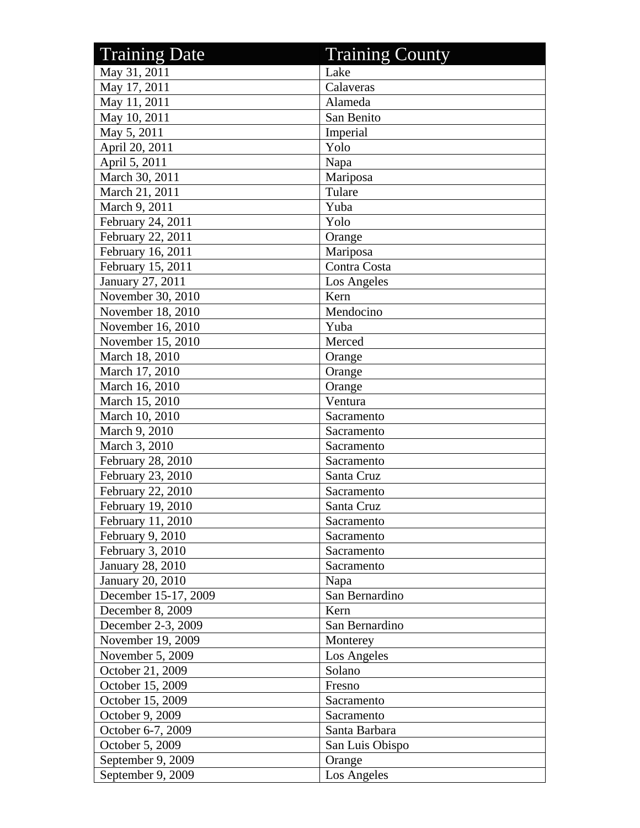| <b>Training Date</b>    | <b>Training County</b> |
|-------------------------|------------------------|
| May 31, 2011            | Lake                   |
| May 17, 2011            | Calaveras              |
| May 11, 2011            | Alameda                |
| May 10, 2011            | San Benito             |
| May 5, 2011             | Imperial               |
| April 20, 2011          | Yolo                   |
| April 5, 2011           | Napa                   |
| March 30, 2011          | Mariposa               |
| March 21, 2011          | Tulare                 |
| March 9, 2011           | Yuba                   |
| February 24, 2011       | Yolo                   |
| February 22, 2011       | Orange                 |
| February 16, 2011       | Mariposa               |
| February 15, 2011       | Contra Costa           |
| January 27, 2011        | Los Angeles            |
| November 30, 2010       | Kern                   |
| November 18, 2010       | Mendocino              |
| November 16, 2010       | Yuba                   |
| November 15, 2010       | Merced                 |
| March 18, 2010          | Orange                 |
| March 17, 2010          | Orange                 |
| March 16, 2010          | Orange                 |
| March 15, 2010          | Ventura                |
| March 10, 2010          | Sacramento             |
| March 9, 2010           | Sacramento             |
| March 3, 2010           | Sacramento             |
| February 28, 2010       | Sacramento             |
| February 23, 2010       | Santa Cruz             |
| February 22, 2010       | Sacramento             |
| February 19, 2010       | Santa Cruz             |
| February 11, 2010       | Sacramento             |
| February 9, 2010        | Sacramento             |
| February 3, 2010        | Sacramento             |
| <b>January 28, 2010</b> | Sacramento             |
| January 20, 2010        | Napa                   |
| December 15-17, 2009    | San Bernardino         |
| December 8, 2009        | Kern                   |
| December 2-3, 2009      | San Bernardino         |
| November 19, 2009       | Monterey               |
| November 5, 2009        | Los Angeles            |
| October 21, 2009        | Solano                 |
| October 15, 2009        | Fresno                 |
| October 15, 2009        | Sacramento             |
| October 9, 2009         | Sacramento             |
| October 6-7, 2009       | Santa Barbara          |
| October 5, 2009         | San Luis Obispo        |
| September 9, 2009       | Orange                 |
| September 9, 2009       | Los Angeles            |